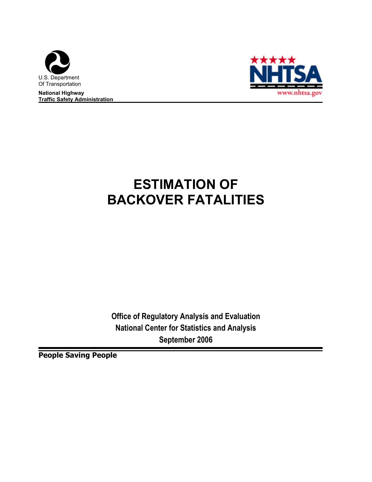

**National Highway Traffic Safety Administration** 



# **ESTIMATION OF BACKOVER FATALITIES**

**Office of Regulatory Analysis and Evaluation National Center for Statistics and Analysis September 2006**

**People Saving People**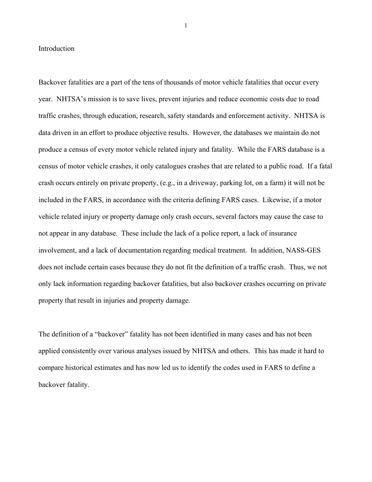#### Introduction

Backover fatalities are a part of the tens of thousands of motor vehicle fatalities that occur every year. NHTSA's mission is to save lives, prevent injuries and reduce economic costs due to road traffic crashes, through education, research, safety standards and enforcement activity. NHTSA is data driven in an effort to produce objective results. However, the databases we maintain do not produce a census of every motor vehicle related injury and fatality. While the FARS database is a census of motor vehicle crashes, it only catalogues crashes that are related to a public road. If a fatal crash occurs entirely on private property, (e.g., in a driveway, parking lot, on a farm) it will not be included in the FARS, in accordance with the criteria defining FARS cases. Likewise, if a motor vehicle related injury or property damage only crash occurs, several factors may cause the case to not appear in any database. These include the lack of a police report, a lack of insurance involvement, and a lack of documentation regarding medical treatment. In addition, NASS-GES does not include certain cases because they do not fit the definition of a traffic crash. Thus, we not only lack information regarding backover fatalities, but also backover crashes occurring on private property that result in injuries and property damage.

The definition of a "backover" fatality has not been identified in many cases and has not been applied consistently over various analyses issued by NHTSA and others. This has made it hard to compare historical estimates and has now led us to identify the codes used in FARS to define a backover fatality.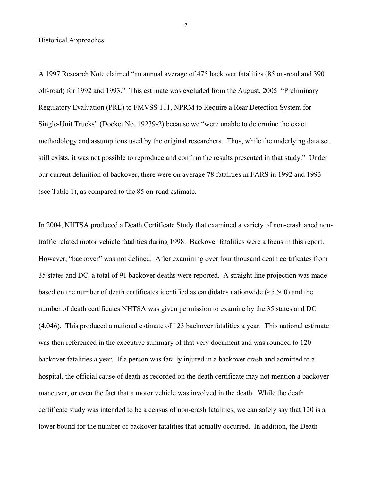Historical Approaches

A 1997 Research Note claimed "an annual average of 475 backover fatalities (85 on-road and 390 off-road) for 1992 and 1993." This estimate was excluded from the August, 2005 "Preliminary Regulatory Evaluation (PRE) to FMVSS 111, NPRM to Require a Rear Detection System for Single-Unit Trucks" (Docket No. 19239-2) because we "were unable to determine the exact methodology and assumptions used by the original researchers. Thus, while the underlying data set still exists, it was not possible to reproduce and confirm the results presented in that study." Under our current definition of backover, there were on average 78 fatalities in FARS in 1992 and 1993 (see Table 1), as compared to the 85 on-road estimate.

In 2004, NHTSA produced a Death Certificate Study that examined a variety of non-crash aned nontraffic related motor vehicle fatalities during 1998. Backover fatalities were a focus in this report. However, "backover" was not defined. After examining over four thousand death certificates from 35 states and DC, a total of 91 backover deaths were reported. A straight line projection was made based on the number of death certificates identified as candidates nationwide ( $\approx$ 5,500) and the number of death certificates NHTSA was given permission to examine by the 35 states and DC (4,046). This produced a national estimate of 123 backover fatalities a year. This national estimate was then referenced in the executive summary of that very document and was rounded to 120 backover fatalities a year. If a person was fatally injured in a backover crash and admitted to a hospital, the official cause of death as recorded on the death certificate may not mention a backover maneuver, or even the fact that a motor vehicle was involved in the death. While the death certificate study was intended to be a census of non-crash fatalities, we can safely say that 120 is a lower bound for the number of backover fatalities that actually occurred. In addition, the Death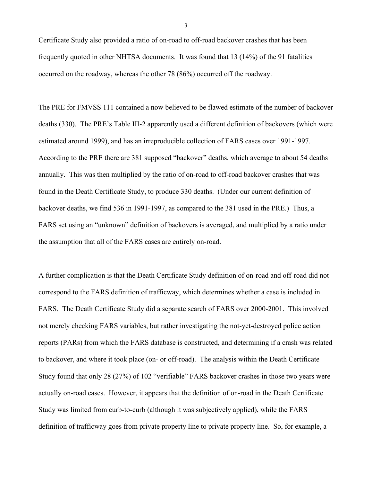Certificate Study also provided a ratio of on-road to off-road backover crashes that has been frequently quoted in other NHTSA documents. It was found that 13 (14%) of the 91 fatalities occurred on the roadway, whereas the other 78 (86%) occurred off the roadway.

The PRE for FMVSS 111 contained a now believed to be flawed estimate of the number of backover deaths (330). The PRE's Table III-2 apparently used a different definition of backovers (which were estimated around 1999), and has an irreproducible collection of FARS cases over 1991-1997. According to the PRE there are 381 supposed "backover" deaths, which average to about 54 deaths annually. This was then multiplied by the ratio of on-road to off-road backover crashes that was found in the Death Certificate Study, to produce 330 deaths. (Under our current definition of backover deaths, we find 536 in 1991-1997, as compared to the 381 used in the PRE.) Thus, a FARS set using an "unknown" definition of backovers is averaged, and multiplied by a ratio under the assumption that all of the FARS cases are entirely on-road.

A further complication is that the Death Certificate Study definition of on-road and off-road did not correspond to the FARS definition of trafficway, which determines whether a case is included in FARS. The Death Certificate Study did a separate search of FARS over 2000-2001. This involved not merely checking FARS variables, but rather investigating the not-yet-destroyed police action reports (PARs) from which the FARS database is constructed, and determining if a crash was related to backover, and where it took place (on- or off-road). The analysis within the Death Certificate Study found that only 28 (27%) of 102 "verifiable" FARS backover crashes in those two years were actually on-road cases. However, it appears that the definition of on-road in the Death Certificate Study was limited from curb-to-curb (although it was subjectively applied), while the FARS definition of trafficway goes from private property line to private property line. So, for example, a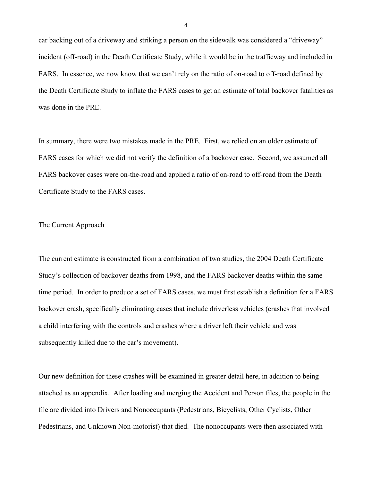car backing out of a driveway and striking a person on the sidewalk was considered a "driveway" incident (off-road) in the Death Certificate Study, while it would be in the trafficway and included in FARS. In essence, we now know that we can't rely on the ratio of on-road to off-road defined by the Death Certificate Study to inflate the FARS cases to get an estimate of total backover fatalities as was done in the PRE.

In summary, there were two mistakes made in the PRE. First, we relied on an older estimate of FARS cases for which we did not verify the definition of a backover case. Second, we assumed all FARS backover cases were on-the-road and applied a ratio of on-road to off-road from the Death Certificate Study to the FARS cases.

### The Current Approach

The current estimate is constructed from a combination of two studies, the 2004 Death Certificate Study's collection of backover deaths from 1998, and the FARS backover deaths within the same time period. In order to produce a set of FARS cases, we must first establish a definition for a FARS backover crash, specifically eliminating cases that include driverless vehicles (crashes that involved a child interfering with the controls and crashes where a driver left their vehicle and was subsequently killed due to the car's movement).

Our new definition for these crashes will be examined in greater detail here, in addition to being attached as an appendix. After loading and merging the Accident and Person files, the people in the file are divided into Drivers and Nonoccupants (Pedestrians, Bicyclists, Other Cyclists, Other Pedestrians, and Unknown Non-motorist) that died. The nonoccupants were then associated with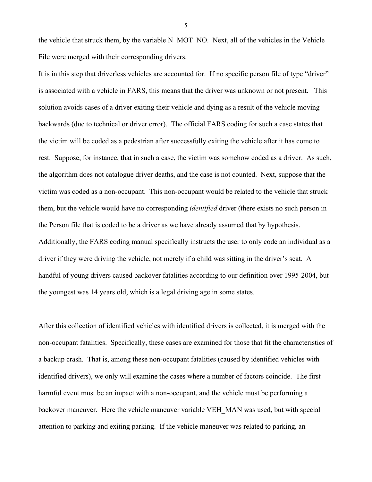the vehicle that struck them, by the variable N\_MOT\_NO. Next, all of the vehicles in the Vehicle File were merged with their corresponding drivers.

It is in this step that driverless vehicles are accounted for. If no specific person file of type "driver" is associated with a vehicle in FARS, this means that the driver was unknown or not present. This solution avoids cases of a driver exiting their vehicle and dying as a result of the vehicle moving backwards (due to technical or driver error). The official FARS coding for such a case states that the victim will be coded as a pedestrian after successfully exiting the vehicle after it has come to rest. Suppose, for instance, that in such a case, the victim was somehow coded as a driver. As such, the algorithm does not catalogue driver deaths, and the case is not counted. Next, suppose that the victim was coded as a non-occupant. This non-occupant would be related to the vehicle that struck them, but the vehicle would have no corresponding *identified* driver (there exists no such person in the Person file that is coded to be a driver as we have already assumed that by hypothesis. Additionally, the FARS coding manual specifically instructs the user to only code an individual as a driver if they were driving the vehicle, not merely if a child was sitting in the driver's seat. A handful of young drivers caused backover fatalities according to our definition over 1995-2004, but the youngest was 14 years old, which is a legal driving age in some states.

After this collection of identified vehicles with identified drivers is collected, it is merged with the non-occupant fatalities. Specifically, these cases are examined for those that fit the characteristics of a backup crash. That is, among these non-occupant fatalities (caused by identified vehicles with identified drivers), we only will examine the cases where a number of factors coincide. The first harmful event must be an impact with a non-occupant, and the vehicle must be performing a backover maneuver. Here the vehicle maneuver variable VEH\_MAN was used, but with special attention to parking and exiting parking. If the vehicle maneuver was related to parking, an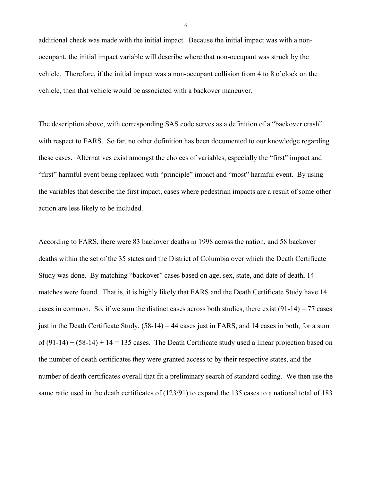additional check was made with the initial impact. Because the initial impact was with a nonoccupant, the initial impact variable will describe where that non-occupant was struck by the vehicle. Therefore, if the initial impact was a non-occupant collision from 4 to 8 o'clock on the vehicle, then that vehicle would be associated with a backover maneuver.

The description above, with corresponding SAS code serves as a definition of a "backover crash" with respect to FARS. So far, no other definition has been documented to our knowledge regarding these cases. Alternatives exist amongst the choices of variables, especially the "first" impact and "first" harmful event being replaced with "principle" impact and "most" harmful event. By using the variables that describe the first impact, cases where pedestrian impacts are a result of some other action are less likely to be included.

According to FARS, there were 83 backover deaths in 1998 across the nation, and 58 backover deaths within the set of the 35 states and the District of Columbia over which the Death Certificate Study was done. By matching "backover" cases based on age, sex, state, and date of death, 14 matches were found. That is, it is highly likely that FARS and the Death Certificate Study have 14 cases in common. So, if we sum the distinct cases across both studies, there exist  $(91-14) = 77$  cases just in the Death Certificate Study,  $(58-14) = 44$  cases just in FARS, and 14 cases in both, for a sum of  $(91-14) + (58-14) + 14 = 135$  cases. The Death Certificate study used a linear projection based on the number of death certificates they were granted access to by their respective states, and the number of death certificates overall that fit a preliminary search of standard coding. We then use the same ratio used in the death certificates of (123/91) to expand the 135 cases to a national total of 183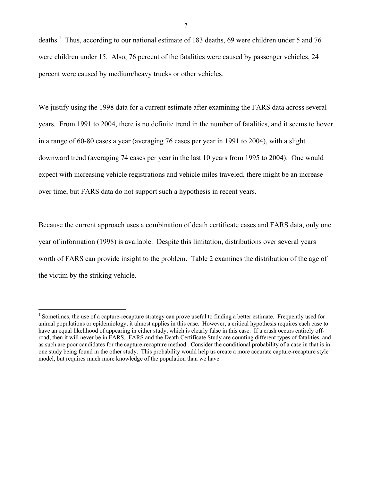deaths.<sup>1</sup> Thus, according to our national estimate of 183 deaths, 69 were children under 5 and 76 were children under 15. Also, 76 percent of the fatalities were caused by passenger vehicles, 24 percent were caused by medium/heavy trucks or other vehicles.

We justify using the 1998 data for a current estimate after examining the FARS data across several years. From 1991 to 2004, there is no definite trend in the number of fatalities, and it seems to hover in a range of 60-80 cases a year (averaging 76 cases per year in 1991 to 2004), with a slight downward trend (averaging 74 cases per year in the last 10 years from 1995 to 2004). One would expect with increasing vehicle registrations and vehicle miles traveled, there might be an increase over time, but FARS data do not support such a hypothesis in recent years.

Because the current approach uses a combination of death certificate cases and FARS data, only one year of information (1998) is available. Despite this limitation, distributions over several years worth of FARS can provide insight to the problem. Table 2 examines the distribution of the age of the victim by the striking vehicle.

<sup>&</sup>lt;sup>1</sup> Sometimes, the use of a capture-recapture strategy can prove useful to finding a better estimate. Frequently used for animal populations or epidemiology, it almost applies in this case. However, a critical hypothesis requires each case to have an equal likelihood of appearing in either study, which is clearly false in this case. If a crash occurs entirely offroad, then it will never be in FARS. FARS and the Death Certificate Study are counting different types of fatalities, and as such are poor candidates for the capture-recapture method. Consider the conditional probability of a case in that is in one study being found in the other study. This probability would help us create a more accurate capture-recapture style model, but requires much more knowledge of the population than we have.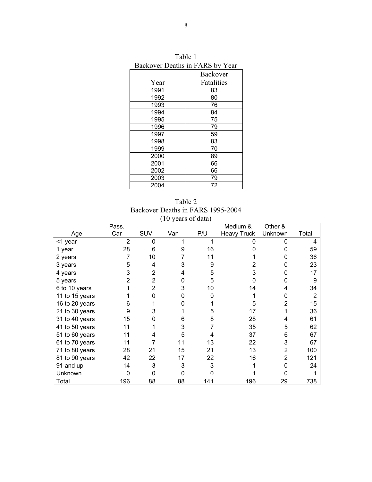| Backover Deaths in FARS by Year |                 |  |  |  |
|---------------------------------|-----------------|--|--|--|
|                                 | <b>Backover</b> |  |  |  |
| Year                            | Fatalities      |  |  |  |
| 1991                            | 83              |  |  |  |
| 1992                            | 80              |  |  |  |
| 1993                            | 76              |  |  |  |
| 1994                            | 84              |  |  |  |
| 1995                            | 75              |  |  |  |
| 1996                            | 79              |  |  |  |
| 1997                            | 59              |  |  |  |
| 1998                            | 83              |  |  |  |
| 1999                            | 70              |  |  |  |
| 2000                            | 89              |  |  |  |
| 2001                            | 66              |  |  |  |
| 2002                            | 66              |  |  |  |
| 2003                            | 79              |  |  |  |
| 2004                            | 72              |  |  |  |

Table 1 Backover Deaths in FARS by Year

Table 2 Backover Deaths in FARS 1995-2004 (10 years of data)

|                | Pass.          |                |     |     | Medium &           | Other &        |       |
|----------------|----------------|----------------|-----|-----|--------------------|----------------|-------|
| Age            | Car            | SUV            | Van | P/U | <b>Heavy Truck</b> | Unknown        | Total |
| <1 year        | $\overline{2}$ | 0              |     |     |                    | ი              | 4     |
| 1 year         | 28             | 6              | 9   | 16  |                    |                | 59    |
| 2 years        | 7              | 10             |     | 11  |                    |                | 36    |
| 3 years        | 5              | 4              | 3   | 9   |                    | O              | 23    |
| 4 years        | 3              | 2              | 4   | 5   | 3                  | N              | 17    |
| 5 years        | $\overline{2}$ | $\overline{2}$ | 0   | 5   | ი                  | ი              | 9     |
| 6 to 10 years  |                | 2              | 3   | 10  | 14                 |                | 34    |
| 11 to 15 years |                |                |     | n   |                    | O              | 2     |
| 16 to 20 years | 6              |                |     |     | 5                  | 2              | 15    |
| 21 to 30 years | 9              |                |     | 5   | 17                 |                | 36    |
| 31 to 40 years | 15             |                | 6   | 8   | 28                 | 4              | 61    |
| 41 to 50 years | 11             |                | 3   |     | 35                 | 5              | 62    |
| 51 to 60 years | 11             | 4              | 5   |     | 37                 | 6              | 67    |
| 61 to 70 years | 11             |                | 11  | 13  | 22                 | 3              | 67    |
| 71 to 80 years | 28             | 21             | 15  | 21  | 13                 | $\overline{2}$ | 100   |
| 81 to 90 years | 42             | 22             | 17  | 22  | 16                 | $\overline{2}$ | 121   |
| 91 and up      | 14             | 3              | 3   | 3   |                    | ი              | 24    |
| Unknown        |                |                |     |     |                    |                |       |
| Total          | 196            | 88             | 88  | 141 | 196                | 29             | 738   |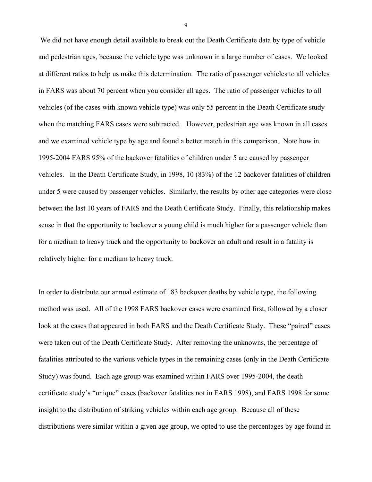We did not have enough detail available to break out the Death Certificate data by type of vehicle and pedestrian ages, because the vehicle type was unknown in a large number of cases. We looked at different ratios to help us make this determination. The ratio of passenger vehicles to all vehicles in FARS was about 70 percent when you consider all ages. The ratio of passenger vehicles to all vehicles (of the cases with known vehicle type) was only 55 percent in the Death Certificate study when the matching FARS cases were subtracted. However, pedestrian age was known in all cases and we examined vehicle type by age and found a better match in this comparison. Note how in 1995-2004 FARS 95% of the backover fatalities of children under 5 are caused by passenger vehicles. In the Death Certificate Study, in 1998, 10 (83%) of the 12 backover fatalities of children under 5 were caused by passenger vehicles. Similarly, the results by other age categories were close between the last 10 years of FARS and the Death Certificate Study. Finally, this relationship makes sense in that the opportunity to backover a young child is much higher for a passenger vehicle than for a medium to heavy truck and the opportunity to backover an adult and result in a fatality is relatively higher for a medium to heavy truck.

In order to distribute our annual estimate of 183 backover deaths by vehicle type, the following method was used. All of the 1998 FARS backover cases were examined first, followed by a closer look at the cases that appeared in both FARS and the Death Certificate Study. These "paired" cases were taken out of the Death Certificate Study. After removing the unknowns, the percentage of fatalities attributed to the various vehicle types in the remaining cases (only in the Death Certificate Study) was found. Each age group was examined within FARS over 1995-2004, the death certificate study's "unique" cases (backover fatalities not in FARS 1998), and FARS 1998 for some insight to the distribution of striking vehicles within each age group. Because all of these distributions were similar within a given age group, we opted to use the percentages by age found in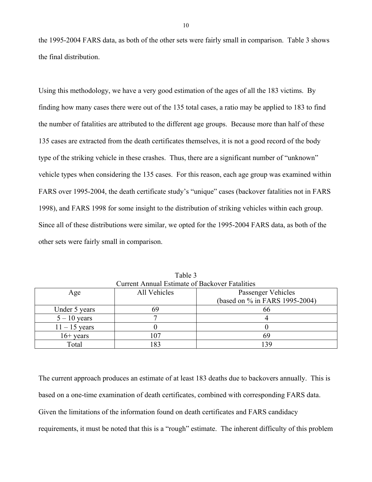the 1995-2004 FARS data, as both of the other sets were fairly small in comparison. Table 3 shows the final distribution.

Using this methodology, we have a very good estimation of the ages of all the 183 victims. By finding how many cases there were out of the 135 total cases, a ratio may be applied to 183 to find the number of fatalities are attributed to the different age groups. Because more than half of these 135 cases are extracted from the death certificates themselves, it is not a good record of the body type of the striking vehicle in these crashes. Thus, there are a significant number of "unknown" vehicle types when considering the 135 cases. For this reason, each age group was examined within FARS over 1995-2004, the death certificate study's "unique" cases (backover fatalities not in FARS 1998), and FARS 1998 for some insight to the distribution of striking vehicles within each group. Since all of these distributions were similar, we opted for the 1995-2004 FARS data, as both of the other sets were fairly small in comparison.

| Carlyne Amnual Estimate of Dackovel I atamics |                                    |                                |  |  |  |
|-----------------------------------------------|------------------------------------|--------------------------------|--|--|--|
| Age                                           | All Vehicles<br>Passenger Vehicles |                                |  |  |  |
|                                               |                                    | (based on % in FARS 1995-2004) |  |  |  |
| Under 5 years                                 |                                    | nn                             |  |  |  |
| $5 - 10$ years                                |                                    |                                |  |  |  |
| $11 - 15$ years                               |                                    |                                |  |  |  |
| $16+$ years                                   | 107                                |                                |  |  |  |
| Total                                         | 83                                 | 39                             |  |  |  |

Table 3 Current Annual Estimate of Backover Fatalities

The current approach produces an estimate of at least 183 deaths due to backovers annually. This is based on a one-time examination of death certificates, combined with corresponding FARS data. Given the limitations of the information found on death certificates and FARS candidacy requirements, it must be noted that this is a "rough" estimate. The inherent difficulty of this problem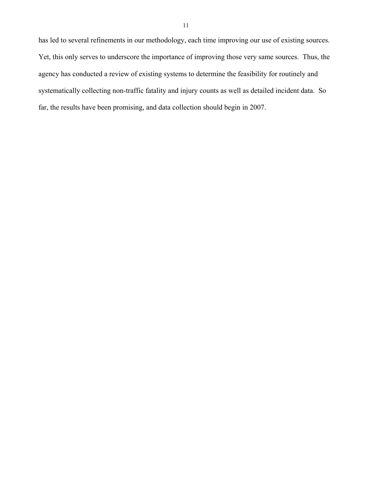has led to several refinements in our methodology, each time improving our use of existing sources. Yet, this only serves to underscore the importance of improving those very same sources. Thus, the agency has conducted a review of existing systems to determine the feasibility for routinely and systematically collecting non-traffic fatality and injury counts as well as detailed incident data. So far, the results have been promising, and data collection should begin in 2007.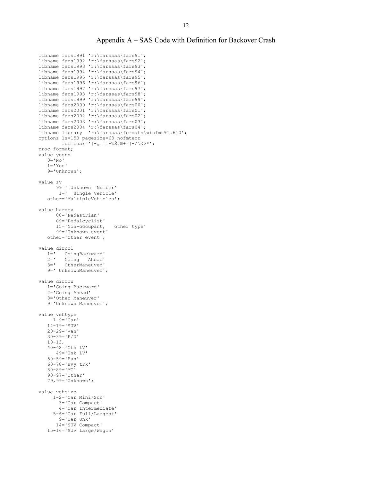#### Appendix A – SAS Code with Definition for Backover Crash

```
libname fars1991 'r:\farssas\fars91'; 
libname fars1992 'r:\farssas\fars92'; 
libname fars1993 'r:\farssas\fars93'; 
libname fars1994 'r:\farssas\fars94'; 
libname fars1995 'r:\farssas\fars95'; 
libname fars1996 'r:\farssas\fars96'; 
libname fars1997 'r:\farssas\fars97';
libname fars1998 'r:\farssas\fars98'; 
libname fars1999 'r:\farssas\fars99'; 
libname fars2000 'r:\farssas\fars00'; 
libname fars2001 'r:\farssas\fars01'; 
libname fars2002 'r:\farssas\fars02'; 
libname fars2003 'r:\farssas\fars03'; 
libname fars2004 'r:\farssas\fars04'; 
libname library 'r:\farssas\formats\winfmt91.610';
options ls=150 pagesize=63 nofmterr 
         formchar='|-<sub>n</sub> ... \uparrow \uparrow + \frac{1}{65} \left(\frac{m}{2}+\frac{1}{2}\right) \left(\frac{m}{2}+\frac{1}{2}\right) ;
proc format; 
.<br>value yesno
   0 = \overline{N} \circ \overline{N}1 = 'Yes' 9='Unknown'; 
value sv 
        99=' Unknown Number' 
         1=' Single Vehicle' 
    other='MultipleVehicles'; 
value harmev 
        08='Pedestrian' 
        09='Pedalcyclist' 
        15='Non-occupant, other type' 
        99='Unknown event' 
    other='Other event'; 
value dircol 
   1=' GoingBackward'<br>2=' Going Ahead'
         Going Ahead'
    8=' OtherManeuver' 
    9=' UnknownManeuver'; 
value dirrow 
    1='Going Backward' 
    2='Going Ahead' 
    8='Other Maneuver' 
    9='Unknown Maneuver'; 
value vehtype 
      1-9='Car' 
    14-19='SUV' 
    20-29='Van' 
    30-39='P/U' 
    10-13, 
    40-48='Oth LV' 
        49='Unk LV' 
    50-59='Bus' 
    60-78='Hvy trk' 
    80-89='MC' 
    90-97='Other' 
    79,99='Unknown'; 
value vehsize 
       1-2='Car Mini/Sub' 
         3='Car Compact' 
         4='Car Intermediate' 
       5-6='Car Full/Largest' 
         9='Car Unk' 
        14='SUV Compact' 
    15-16='SUV Large/Wagon'
```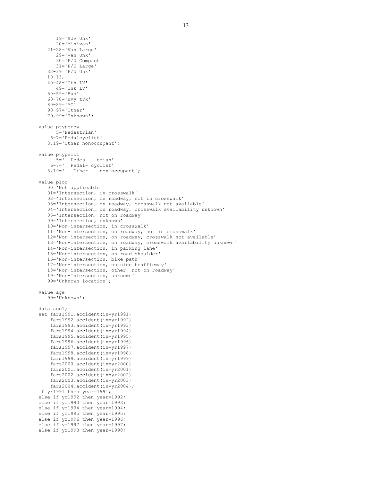19='SUV Unk' 20='Minivan' 21-28='Van Large' 29='Van Unk' 30='P/U Compact' 31='P/U Large' 32-39='P/U Unk'  $10-13$ , 40-48='Oth LV' 49='Unk LV' 50-59='Bus' 60-78='Hvy trk'  $80 - 89 = 'MC'$  90-97='Other' 79,99='Unknown'; value ptyperow 5='Pedestrian' 6-7='Pedalcyclist' 8,19='Other nonoccupant'; value ptypecol 5=' Pedes- trian' 6-7=' Pedal- cyclist' 8,19=' Other non-occupant'; value ploc 00='Not applicable' 01='Intersection, in crosswalk' 02='Intersection, on roadway, not in crosswalk' 03='Intersection, on roadway, crosswalk not available' 04='Intersection, on roadway, crosswalk availability unknown' 05='Intersection, not on roadway' 09='Intersection, unknown' 10='Non-intersection, in crosswalk' 11='Non-intersection, on roadway, not in crosswalk' 12='Non-intersection, on roadway, crosswalk not available' 13='Non-intersection, on roadway, crosswalk availability unknown' 14='Non-intersection, in parking lane' 15='Non-intersection, on road shoulder' 16='Non-intersection, bike path' 17='Non-intersection, outside trafficway' 18='Non-intersection, other, not on roadway' 19='Non-Intersection, unknown' 99='Unknown location'; value age 99='Unknown'; data acc1; set fars1991.accident(in=yr1991) fars1992.accident(in=yr1992) fars1993.accident(in=yr1993) fars1994.accident(in=yr1994) fars1995.accident(in=yr1995) fars1996.accident(in=yr1996) fars1997.accident(in=yr1997) fars1998.accident(in=yr1998) fars1999.accident(in=yr1999) fars2000.accident(in=yr2000) fars2001.accident(in=yr2001) fars2002.accident(in=yr2002) fars2003.accident(in=yr2003) fars2004.accident(in=yr2004); if yr1991 then year=1991; else if yr1992 then year=1992; else if yr1993 then year=1993; else if yr1994 then year=1994; else if yr1995 then year=1995; else if yr1996 then year=1996; else if yr1997 then year=1997; else if yr1998 then year=1998;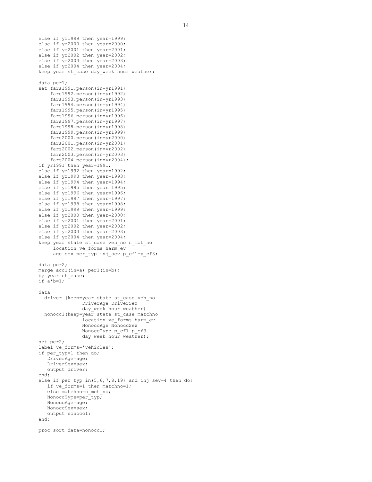```
else if yr1999 then year=1999; 
else if yr2000 then year=2000; 
else if yr2001 then year=2001; 
else if yr2002 then year=2002; 
else if yr2003 then year=2003; 
else if yr2004 then year=2004; 
keep year st case day week hour weather;
data per1; 
set fars1991.person(in=yr1991) 
     fars1992.person(in=yr1992) 
     fars1993.person(in=yr1993) 
     fars1994.person(in=yr1994) 
     fars1995.person(in=yr1995) 
     fars1996.person(in=yr1996) 
     fars1997.person(in=yr1997) 
     fars1998.person(in=yr1998) 
     fars1999.person(in=yr1999) 
     fars2000.person(in=yr2000) 
     fars2001.person(in=yr2001) 
     fars2002.person(in=yr2002) 
     fars2003.person(in=yr2003) 
     fars2004.person(in=yr2004); 
if yr1991 then year=1991; 
else if yr1992 then year=1992; 
else if yr1993 then year=1993; 
else if yr1994 then year=1994; 
else if yr1995 then year=1995; 
else if yr1996 then year=1996; 
else if yr1997 then year=1997; 
else if yr1998 then year=1998; 
else if yr1999 then year=1999; 
else if yr2000 then year=2000; 
else if yr2001 then year=2001; 
else if yr2002 then year=2002; 
else if yr2003 then year=2003; 
else if yr2004 then year=2004; 
keep year state st_case veh_no n_mot_no 
      location ve_forms harm_ev 
     age sex per typ inj sev p cf1-p cf3;
data per2; 
merge acc1(in=a) per1(in=b);
by year st case;
if a*b=1;data 
   driver (keep=year state st_case veh_no 
                 DriverAge DriverSex 
                 day_week hour weather) 
   nonocc1(keep=year state st_case matchno 
                location ve_orms harm_ev
                 NonoccAge NonoccSex 
                 NonoccType p_cf1-p_cf3 
                day week hour weather);
set per2; 
label ve_forms='Vehicles';
if per typ=1 then do;
    DriverAge=age; 
    DriverSex=sex; 
    output driver; 
end; 
else if per typ in(5, 6, 7, 8, 19) and inj sev=4 then do;
   if ve forms=1 then matchno=1;
    else matchno=n_mot_no; 
    NonoccType=per_typ; 
    NonoccAge=age; 
    NonoccSex=sex; 
    output nonocc1; 
end; 
proc sort data=nonocc1;
```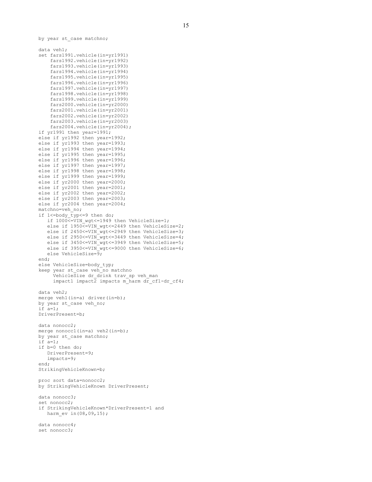by year st case matchno;

```
data veh1; 
set fars1991.vehicle(in=yr1991) 
     fars1992.vehicle(in=yr1992) 
     fars1993.vehicle(in=yr1993) 
     fars1994.vehicle(in=yr1994) 
     fars1995.vehicle(in=yr1995) 
     fars1996.vehicle(in=yr1996) 
     fars1997.vehicle(in=yr1997) 
     fars1998.vehicle(in=yr1998) 
     fars1999.vehicle(in=yr1999) 
     fars2000.vehicle(in=yr2000) 
     fars2001.vehicle(in=yr2001) 
     fars2002.vehicle(in=yr2002) 
     fars2003.vehicle(in=yr2003) 
     fars2004.vehicle(in=yr2004); 
if yr1991 then year=1991; 
else if yr1992 then year=1992; 
else if yr1993 then year=1993; 
else if yr1994 then year=1994; 
else if yr1995 then year=1995; 
else if yr1996 then year=1996; 
else if yr1997 then year=1997; 
else if yr1998 then year=1998; 
else if yr1999 then year=1999; 
else if yr2000 then year=2000; 
else if yr2001 then year=2001; 
else if yr2002 then year=2002; 
else if yr2003 then year=2003; 
else if yr2004 then year=2004; 
matchno=veh_no;
if 1<=body typ<=9 then do;
   if 1000<=VIN wgt<=1949 then VehicleSize=1;
   else if 1950<=VIN wgt<=2449 then VehicleSize=2;
else if 2450<=VIN wgt<=2949 then VehicleSize=3;
else if 2950<=VIN wgt<=3449 then VehicleSize=4;
   else if 3450<=VIN_wgt<=3949 then VehicleSize=5;
   else if 3950<=VIN_wgt<=9000 then VehicleSize=6;
   else VehicleSize=9;
end; 
else VehicleSize=body_typ; 
keep year st case veh no matchno
      VehicleSize dr_drink trav_sp veh_man 
     impatch 1 import 2 import 2 import 1 import 1data veh2; 
merge vehl(in=a) driver(in=b);
by year st case veh no;
if a=1; 
DriverPresent=b; 
data nonocc2; 
merge nonocc1(in=a) veh2(in=b);
by year st case matchno;
if a=1; 
if b=0 then do; 
    DriverPresent=9; 
    impacts=9; 
end; 
StrikingVehicleKnown=b; 
proc sort data=nonocc2; 
by StrikingVehicleKnown DriverPresent; 
data nonocc3; 
set nonocc2; 
if StrikingVehicleKnown*DriverPresent=1 and 
   harm ev in(08,09,15);
data nonocc4; 
set nonocc3;
```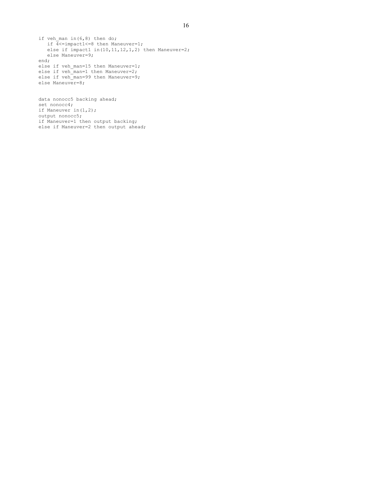```
if veh man in(6,8) then do;
   if \overline{4} <= impact1 <= 8 then Maneuver=1;
   else if impat1 in(10,11,12,1,2) then Maneuver=2;
    else Maneuver=9; 
end; 
else if veh man=15 then Maneuver=1;
else if veh man=1 then Maneuver=2;
else if veh\bar{m}an=99 then Maneuver=9;
else Maneuver=8;
data nonocc5 backing ahead; 
set nonocc4;
```

```
if Maneuver in(1,2); 
output nonocc5; 
if Maneuver=1 then output backing; 
else if Maneuver=2 then output ahead;
```